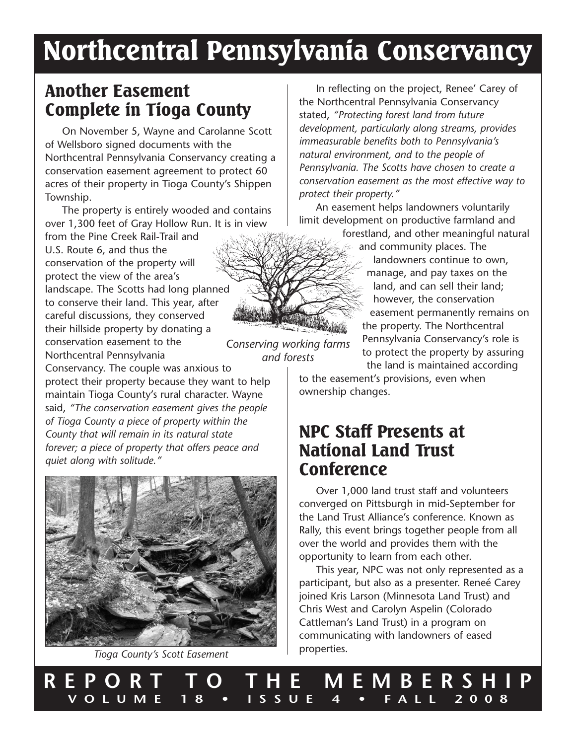# Northcentral Pennsylvania Conservancy

*and forests*

### Another Easement Complete in Tioga County

On November 5, Wayne and Carolanne Scott of Wellsboro signed documents with the Northcentral Pennsylvania Conservancy creating a conservation easement agreement to protect 60 acres of their property in Tioga County's Shippen Township.

The property is entirely wooded and contains over 1,300 feet of Gray Hollow Run. It is in view

*Conserving working farms* from the Pine Creek Rail-Trail and U.S. Route 6, and thus the conservation of the property will protect the view of the area's landscape. The Scotts had long planned to conserve their land. This year, after careful discussions, they conserved their hillside property by donating a conservation easement to the Northcentral Pennsylvania

Conservancy. The couple was anxious to protect their property because they want to help maintain Tioga County's rural character. Wayne said, *"The conservation easement gives the people of Tioga County a piece of property within the County that will remain in its natural state forever; a piece of property that offers peace and quiet along with solitude."*



*Tioga County's Scott Easement*

In reflecting on the project, Renee' Carey of the Northcentral Pennsylvania Conservancy stated, *"Protecting forest land from future development, particularly along streams, provides immeasurable benefits both to Pennsylvania's natural environment, and to the people of Pennsylvania. The Scotts have chosen to create a conservation easement as the most effective way to protect their property."*

An easement helps landowners voluntarily limit development on productive farmland and

forestland, and other meaningful natural and community places. The

> landowners continue to own, manage, and pay taxes on the land, and can sell their land; however, the conservation easement permanently remains on the property. The Northcentral Pennsylvania Conservancy's role is to protect the property by assuring the land is maintained according

to the easement's provisions, even when ownership changes.

### NPC Staff Presents at National Land Trust Conference

Over 1,000 land trust staff and volunteers converged on Pittsburgh in mid-September for the Land Trust Alliance's conference. Known as Rally, this event brings together people from all over the world and provides them with the opportunity to learn from each other.

This year, NPC was not only represented as a participant, but also as a presenter. Reneé Carey joined Kris Larson (Minnesota Land Trust) and Chris West and Carolyn Aspelin (Colorado Cattleman's Land Trust) in a program on communicating with landowners of eased properties.

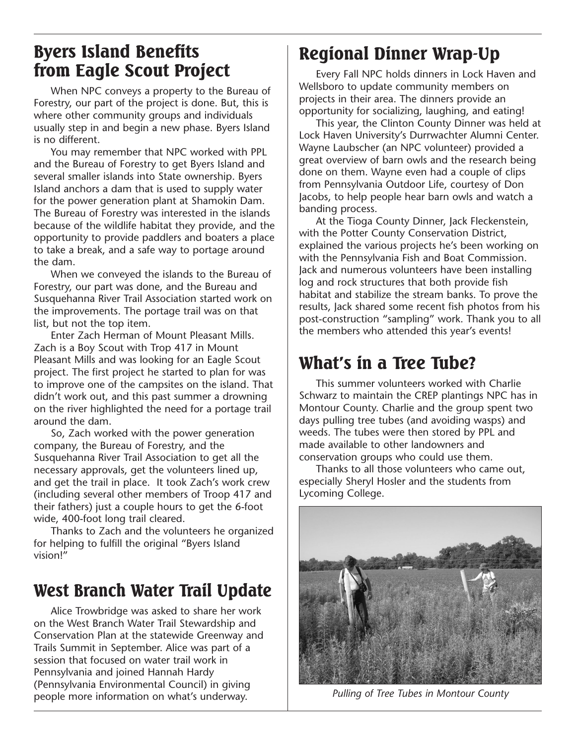### Byers Island Benefits from Eagle Scout Project

When NPC conveys a property to the Bureau of Forestry, our part of the project is done. But, this is where other community groups and individuals usually step in and begin a new phase. Byers Island is no different.

You may remember that NPC worked with PPL and the Bureau of Forestry to get Byers Island and several smaller islands into State ownership. Byers Island anchors a dam that is used to supply water for the power generation plant at Shamokin Dam. The Bureau of Forestry was interested in the islands because of the wildlife habitat they provide, and the opportunity to provide paddlers and boaters a place to take a break, and a safe way to portage around the dam.

When we conveyed the islands to the Bureau of Forestry, our part was done, and the Bureau and Susquehanna River Trail Association started work on the improvements. The portage trail was on that list, but not the top item.

Enter Zach Herman of Mount Pleasant Mills. Zach is a Boy Scout with Trop 417 in Mount Pleasant Mills and was looking for an Eagle Scout project. The first project he started to plan for was to improve one of the campsites on the island. That didn't work out, and this past summer a drowning on the river highlighted the need for a portage trail around the dam.

So, Zach worked with the power generation company, the Bureau of Forestry, and the Susquehanna River Trail Association to get all the necessary approvals, get the volunteers lined up, and get the trail in place. It took Zach's work crew (including several other members of Troop 417 and their fathers) just a couple hours to get the 6-foot wide, 400-foot long trail cleared.

Thanks to Zach and the volunteers he organized for helping to fulfill the original "Byers Island vision!"

### West Branch Water Trail Update

Alice Trowbridge was asked to share her work on the West Branch Water Trail Stewardship and Conservation Plan at the statewide Greenway and Trails Summit in September. Alice was part of a session that focused on water trail work in Pennsylvania and joined Hannah Hardy (Pennsylvania Environmental Council) in giving people more information on what's underway. *Pulling of Tree Tubes in Montour County*

# Regional Dinner Wrap-Up

Every Fall NPC holds dinners in Lock Haven and Wellsboro to update community members on projects in their area. The dinners provide an opportunity for socializing, laughing, and eating!

This year, the Clinton County Dinner was held at Lock Haven University's Durrwachter Alumni Center. Wayne Laubscher (an NPC volunteer) provided a great overview of barn owls and the research being done on them. Wayne even had a couple of clips from Pennsylvania Outdoor Life, courtesy of Don Jacobs, to help people hear barn owls and watch a banding process.

At the Tioga County Dinner, Jack Fleckenstein, with the Potter County Conservation District, explained the various projects he's been working on with the Pennsylvania Fish and Boat Commission. Jack and numerous volunteers have been installing log and rock structures that both provide fish habitat and stabilize the stream banks. To prove the results, Jack shared some recent fish photos from his post-construction "sampling" work. Thank you to all the members who attended this year's events!

## What's in a Tree Tube?

This summer volunteers worked with Charlie Schwarz to maintain the CREP plantings NPC has in Montour County. Charlie and the group spent two days pulling tree tubes (and avoiding wasps) and weeds. The tubes were then stored by PPL and made available to other landowners and conservation groups who could use them.

Thanks to all those volunteers who came out, especially Sheryl Hosler and the students from Lycoming College.

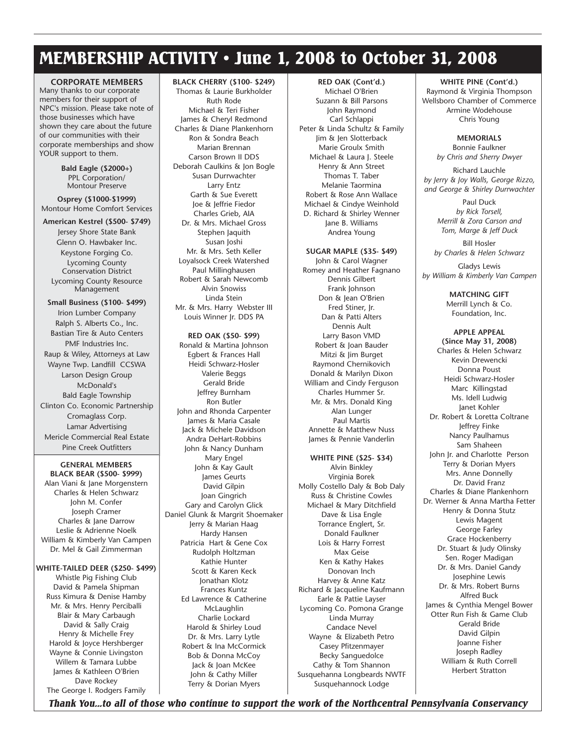### MEMBERSHIP ACTIVITY • June 1, 2008 to October 31, 2008

**CORPORATE MEMBERS** Many thanks to our corporate members for their support of NPC's mission. Please take note of those businesses which have shown they care about the future of our communities with their corporate memberships and show YOUR support to them.

> **Bald Eagle (\$2000+)** PPL Corporation/ Montour Preserve

**Osprey (\$1000-\$1999)** Montour Home Comfort Services

#### **American Kestrel (\$500- \$749)**

Jersey Shore State Bank Glenn O. Hawbaker Inc. Keystone Forging Co. Lycoming County Conservation District Lycoming County Resource Management

**Small Business (\$100- \$499)** Irion Lumber Company Ralph S. Alberts Co., Inc. Bastian Tire & Auto Centers PMF Industries Inc. Raup & Wiley, Attorneys at Law Wayne Twp. Landfill CCSWA Larson Design Group McDonald's Bald Eagle Township Clinton Co. Economic Partnership Cromaglass Corp. Lamar Advertising Mericle Commercial Real Estate Pine Creek Outfitters

**GENERAL MEMBERS BLACK BEAR (\$500- \$999)** Alan Viani & Jane Morgenstern Charles & Helen Schwarz John M. Confer Joseph Cramer Charles & Jane Darrow Leslie & Adrienne Noelk William & Kimberly Van Campen Dr. Mel & Gail Zimmerman

#### **WHITE-TAILED DEER (\$250- \$499)**

Whistle Pig Fishing Club David & Pamela Shipman Russ Kimura & Denise Hamby Mr. & Mrs. Henry Perciballi Blair & Mary Carbaugh David & Sally Craig Henry & Michelle Frey Harold & Joyce Hershberger Wayne & Connie Livingston Willem & Tamara Lubbe James & Kathleen O'Brien Dave Rockey The George I. Rodgers Family

#### **BLACK CHERRY (\$100- \$249)**

Thomas & Laurie Burkholder Ruth Rode Michael & Teri Fisher James & Cheryl Redmond Charles & Diane Plankenhorn Ron & Sondra Beach Marian Brennan Carson Brown II DDS Deborah Caulkins & Jon Bogle Susan Durrwachter Larry Entz Garth & Sue Everett Joe & Jeffrie Fiedor Charles Grieb, AIA Dr. & Mrs. Michael Gross Stephen Jaquith Susan Joshi Mr. & Mrs. Seth Keller Loyalsock Creek Watershed Paul Millinghausen Robert & Sarah Newcomb Alvin Snowiss Linda Stein Mr. & Mrs. Harry Webster III Louis Winner Jr. DDS PA

**RED OAK (\$50- \$99)** Ronald & Martina Johnson Egbert & Frances Hall Heidi Schwarz-Hosler Valerie Beggs Gerald Bride Jeffrey Burnham Ron Butler John and Rhonda Carpenter James & Maria Casale Jack & Michele Davidson Andra DeHart-Robbins John & Nancy Dunham Mary Engel John & Kay Gault James Geurts David Gilpin Joan Gingrich Gary and Carolyn Glick Daniel Glunk & Margrit Shoemaker Jerry & Marian Haag Hardy Hansen Patricia Hart & Gene Cox Rudolph Holtzman Kathie Hunter Scott & Karen Keck Jonathan Klotz Frances Kuntz Ed Lawrence & Catherine McLaughlin Charlie Lockard Harold & Shirley Loud Dr. & Mrs. Larry Lytle Robert & Ina McCormick Bob & Donna McCoy Jack & Joan McKee John & Cathy Miller Terry & Dorian Myers

**RED OAK (Cont'd.)** Michael O'Brien Suzann & Bill Parsons John Raymond Carl Schlappi Peter & Linda Schultz & Family Jim & Jen Slotterback Marie Groulx Smith Michael & Laura J. Steele Henry & Ann Street Thomas T. Taber Melanie Taormina Robert & Rose Ann Wallace Michael & Cindye Weinhold D. Richard & Shirley Wenner Jane B. Williams Andrea Young

### **SUGAR MAPLE (\$35- \$49)**

John & Carol Wagner Romey and Heather Fagnano Dennis Gilbert Frank Johnson Don & Jean O'Brien Fred Stiner, Ir. Dan & Patti Alters Dennis Ault Larry Bason VMD Robert & Joan Bauder Mitzi & Jim Burget Raymond Chernikovich Donald & Marilyn Dixon William and Cindy Ferguson Charles Hummer Sr. Mr. & Mrs. Donald King Alan Lunger Paul Martis Annette & Matthew Nuss James & Pennie Vanderlin

#### **WHITE PINE (\$25- \$34)** Alvin Binkley

Virginia Borek Molly Costello Daly & Bob Daly Russ & Christine Cowles Michael & Mary Ditchfield Dave & Lisa Engle Torrance Englert, Sr. Donald Faulkner Lois & Harry Forrest Max Geise Ken & Kathy Hakes Donovan Inch Harvey & Anne Katz Richard & Jacqueline Kaufmann Earle & Pattie Layser Lycoming Co. Pomona Grange Linda Murray Candace Nevel Wayne & Elizabeth Petro Casey Pfitzenmayer Becky Sanguedolce Cathy & Tom Shannon Susquehanna Longbeards NWTF Susquehannock Lodge

**WHITE PINE (Cont'd.)** Raymond & Virginia Thompson Wellsboro Chamber of Commerce Armine Wodehouse Chris Young

> **MEMORIALS** Bonnie Faulkner *by Chris and Sherry Dwyer*

Richard Lauchle *by Jerry & Joy Walls, George Rizzo, and George & Shirley Durrwachter*

> Paul Duck *by Rick Torsell, Merrill & Zora Carson and Tom, Marge & Jeff Duck*

Bill Hosler *by Charles & Helen Schwarz*

Gladys Lewis *by William & Kimberly Van Campen*

> **MATCHING GIFT** Merrill Lynch & Co. Foundation, Inc.

**APPLE APPEAL (Since May 31, 2008)** Charles & Helen Schwarz Kevin Drewencki Donna Poust Heidi Schwarz-Hosler Marc Killingstad Ms. Idell Ludwig Janet Kohler Dr. Robert & Loretta Coltrane Jeffrey Finke Nancy Paulhamus Sam Shaheen John Jr. and Charlotte Person Terry & Dorian Myers Mrs. Anne Donnelly Dr. David Franz Charles & Diane Plankenhorn Dr. Werner & Anna Martha Fetter Henry & Donna Stutz Lewis Magent George Farley Grace Hockenberry Dr. Stuart & Judy Olinsky Sen. Roger Madigan Dr. & Mrs. Daniel Gandy Josephine Lewis Dr. & Mrs. Robert Burns Alfred Buck James & Cynthia Mengel Bower Otter Run Fish & Game Club Gerald Bride David Gilpin Joanne Fisher Joseph Radley William & Ruth Correll Herbert Stratton

*Thank You...to all of those who continue to support the work of the Northcentral Pennsylvania Conservancy*